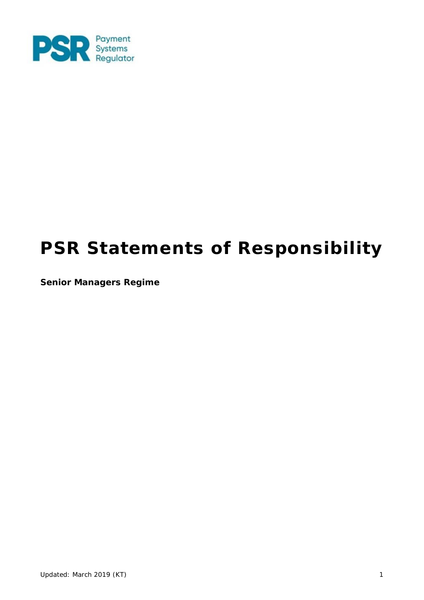

# **PSR Statements of Responsibility**

**Senior Managers Regime**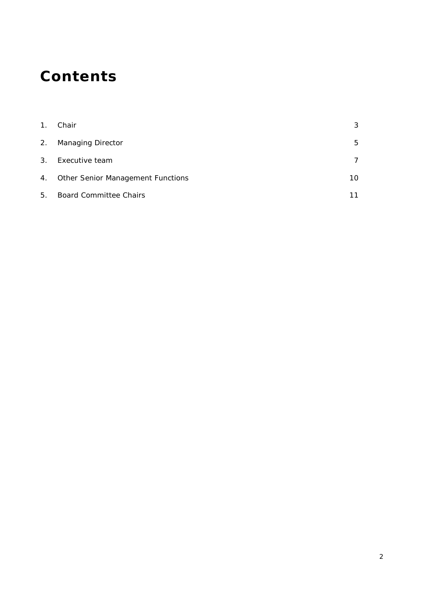# **Contents**

| 1 <sub>1</sub> | Chair                                    | 3  |
|----------------|------------------------------------------|----|
| 2.             | <b>Managing Director</b>                 | 5  |
| 3.             | Executive team                           | 7  |
| 4.             | <b>Other Senior Management Functions</b> | 10 |
| 5.             | <b>Board Committee Chairs</b>            |    |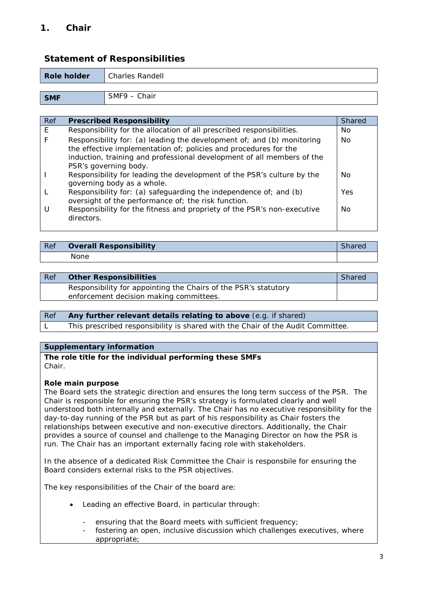# **1. Chair**

# **Statement of Responsibilities**

| Role holder | <b>Charles Randell</b> |
|-------------|------------------------|
|             |                        |
| <b>SMF</b>  | SMF9 – Chair           |

| Ref | <b>Prescribed Responsibility</b>                                                                                                                                                                                                              | <b>Shared</b> |
|-----|-----------------------------------------------------------------------------------------------------------------------------------------------------------------------------------------------------------------------------------------------|---------------|
| E   | Responsibility for the allocation of all prescribed responsibilities.                                                                                                                                                                         | No            |
|     | Responsibility for: (a) leading the development of; and (b) monitoring<br>the effective implementation of; policies and procedures for the<br>induction, training and professional development of all members of the<br>PSR's governing body. | <b>No</b>     |
|     | Responsibility for leading the development of the PSR's culture by the<br>governing body as a whole.                                                                                                                                          | No            |
|     | Responsibility for: (a) safeguarding the independence of; and (b)<br>oversight of the performance of; the risk function.                                                                                                                      | Yes           |
|     | Responsibility for the fitness and propriety of the PSR's non-executive<br>directors.                                                                                                                                                         | No            |

| Ref | <b>Overall Responsibility</b> |  |
|-----|-------------------------------|--|
|     | None                          |  |

| Ref | <b>Other Responsibilities</b>                                   | <b>Shared</b> |
|-----|-----------------------------------------------------------------|---------------|
|     | Responsibility for appointing the Chairs of the PSR's statutory |               |
|     | enforcement decision making committees.                         |               |

| Ref | Any further relevant details relating to above (e.g. if shared)                 |
|-----|---------------------------------------------------------------------------------|
|     | This prescribed responsibility is shared with the Chair of the Audit Committee. |

#### **Supplementary information**

**The role title for the individual performing these SMFs** Chair.

#### **Role main purpose**

The Board sets the strategic direction and ensures the long term success of the PSR. The Chair is responsible for ensuring the PSR's strategy is formulated clearly and well understood both internally and externally. The Chair has no executive responsibility for the day-to-day running of the PSR but as part of his responsibility as Chair fosters the relationships between executive and non-executive directors. Additionally, the Chair provides a source of counsel and challenge to the Managing Director on how the PSR is run. The Chair has an important externally facing role with stakeholders.

In the absence of a dedicated Risk Committee the Chair is responsbile for ensuring the Board considers external risks to the PSR objectives.

The key responsibilities of the Chair of the board are:

- Leading an effective Board, in particular through:
	- ensuring that the Board meets with sufficient frequency;
	- fostering an open, inclusive discussion which challenges executives, where appropriate;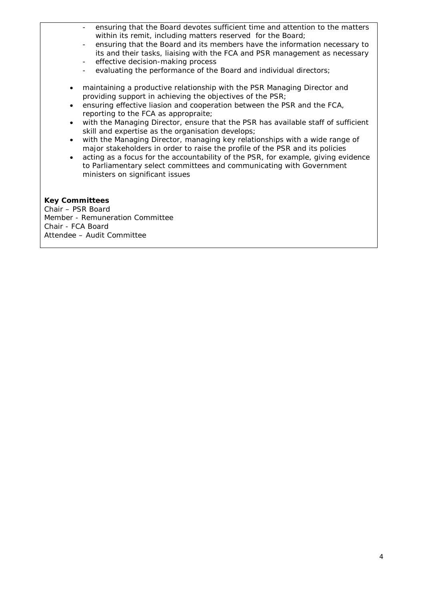- ensuring that the Board devotes sufficient time and attention to the matters within its remit, including matters reserved for the Board;
- ensuring that the Board and its members have the information necessary to its and their tasks, liaising with the FCA and PSR management as necessary effective decision-making process
- evaluating the performance of the Board and individual directors;
- maintaining a productive relationship with the PSR Managing Director and providing support in achieving the objectives of the PSR;
- ensuring effective liasion and cooperation between the PSR and the FCA, reporting to the FCA as appropraite;
- with the Managing Director, ensure that the PSR has available staff of sufficient skill and expertise as the organisation develops;
- with the Managing Director, managing key relationships with a wide range of major stakeholders in order to raise the profile of the PSR and its policies
- acting as a focus for the accountability of the PSR, for example, giving evidence to Parliamentary select committees and communicating with Government ministers on significant issues

#### **Key Committees**

Chair – PSR Board Member - Remuneration Committee Chair - FCA Board Attendee – Audit Committee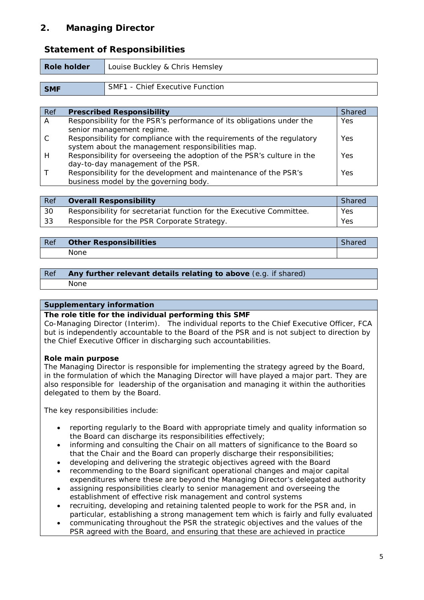# **2. Managing Director**

# **Statement of Responsibilities**

| Role holder | Louise Buckley & Chris Hemsley  |
|-------------|---------------------------------|
|             |                                 |
| <b>SMF</b>  | SMF1 - Chief Executive Function |

| Ref | <b>Prescribed Responsibility</b>                                       | <b>Shared</b> |
|-----|------------------------------------------------------------------------|---------------|
| A   | Responsibility for the PSR's performance of its obligations under the  | Yes           |
|     | senior management regime.                                              |               |
|     | Responsibility for compliance with the requirements of the regulatory  | Yes           |
|     | system about the management responsibilities map.                      |               |
| Н   | Responsibility for overseeing the adoption of the PSR's culture in the | Yes           |
|     | day-to-day management of the PSR.                                      |               |
|     | Responsibility for the development and maintenance of the PSR's        | Yes           |
|     | business model by the governing body.                                  |               |

| Ref | <b>Overall Responsibility</b>                                        | <b>Shared</b> |
|-----|----------------------------------------------------------------------|---------------|
| 30  | Responsibility for secretariat function for the Executive Committee. | Yes           |
| -33 | Responsible for the PSR Corporate Strategy.                          | Yes           |

| Ref | <b>Other Responsibilities</b> | <i>Shared</i> |
|-----|-------------------------------|---------------|
|     | None                          |               |

#### *Ref* **Any further relevant details relating to above** (e.g. if shared) None

#### **Supplementary information**

#### **The role title for the individual performing this SMF**

Co-Managing Director (Interim). The individual reports to the Chief Executive Officer, FCA but is independently accountable to the Board of the PSR and is not subject to direction by the Chief Executive Officer in discharging such accountabilities.

#### **Role main purpose**

The Managing Director is responsible for implementing the strategy agreed by the Board, in the formulation of which the Managing Director will have played a major part. They are also responsible for leadership of the organisation and managing it within the authorities delegated to them by the Board.

The key responsibilities include:

- reporting regularly to the Board with appropriate timely and quality information so the Board can discharge its responsibilities effectively;
- informing and consulting the Chair on all matters of significance to the Board so that the Chair and the Board can properly discharge their responsibilities;
- developing and delivering the strategic objectives agreed with the Board
- recommending to the Board significant operational changes and major capital expenditures where these are beyond the Managing Director's delegated authority
- assigning responsibilities clearly to senior management and overseeing the establishment of effective risk management and control systems
- recruiting, developing and retaining talented people to work for the PSR and, in particular, establishing a strong management tem which is fairly and fully evaluated
- communicating throughout the PSR the strategic objectives and the values of the PSR agreed with the Board, and ensuring that these are achieved in practice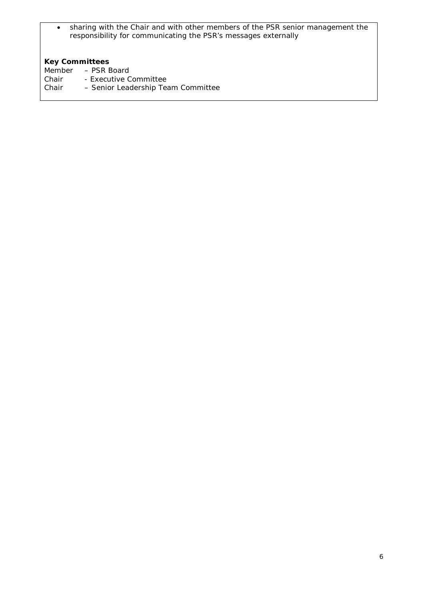• sharing with the Chair and with other members of the PSR senior management the responsibility for communicating the PSR's messages externally

# **Key Committees**

- Member PSR Board
- Chair Executive Committee
- Chair Senior Leadership Team Committee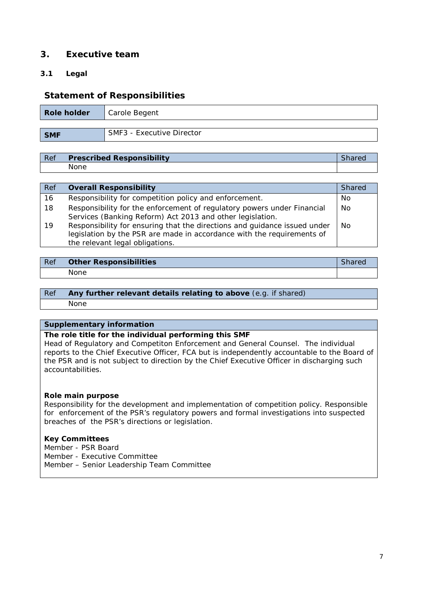# **3. Executive team**

#### **3.1 Legal**

# **Statement of Responsibilities**

| Role holder | Carole Begent                    |
|-------------|----------------------------------|
| <b>SMF</b>  | <b>SMF3 - Executive Director</b> |

| Ref | <b>Prescribed Responsibility</b> | <i>Snared</i> |
|-----|----------------------------------|---------------|
|     | None                             |               |

| Ref | <b>Overall Responsibility</b>                                                                                                                                                          | <b>Shared</b> |
|-----|----------------------------------------------------------------------------------------------------------------------------------------------------------------------------------------|---------------|
| 16  | Responsibility for competition policy and enforcement.                                                                                                                                 | No.           |
| 18  | Responsibility for the enforcement of regulatory powers under Financial<br>Services (Banking Reform) Act 2013 and other legislation.                                                   | <b>No</b>     |
| 19  | Responsibility for ensuring that the directions and guidance issued under<br>legislation by the PSR are made in accordance with the requirements of<br>the relevant legal obligations. | <b>No</b>     |

| Ref | <b>Other Responsibilities</b> |  |
|-----|-------------------------------|--|
|     | None.                         |  |

#### *Ref* **Any further relevant details relating to above** (e.g. if shared) None

#### **Supplementary information**

#### **The role title for the individual performing this SMF**

Head of Regulatory and Competiton Enforcement and General Counsel. The individual reports to the Chief Executive Officer, FCA but is independently accountable to the Board of the PSR and is not subject to direction by the Chief Executive Officer in discharging such accountabilities.

#### **Role main purpose**

Responsibility for the development and implementation of competition policy. Responsible for enforcement of the PSR's regulatory powers and formal investigations into suspected breaches of the PSR's directions or legislation.

#### **Key Committees**

Member - PSR Board Member - Executive Committee Member – Senior Leadership Team Committee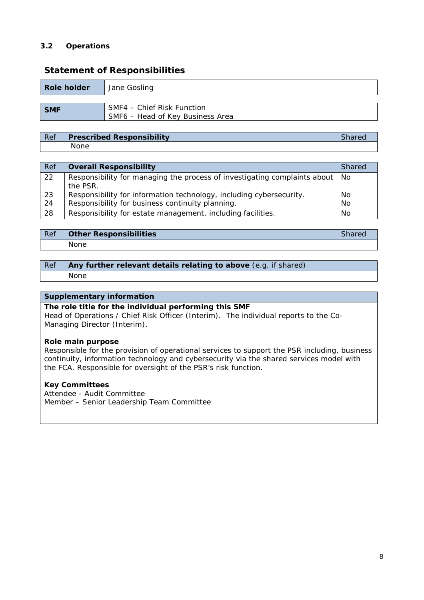#### **3.2 Operations**

| Role holder | Jane Gosling                     |
|-------------|----------------------------------|
|             |                                  |
| <b>SMF</b>  | SMF4 – Chief Risk Function       |
|             | SMF6 - Head of Key Business Area |

# **Statement of Responsibilities**

#### *Ref* **Prescribed Responsibility** *Shared* None

| Ref | <b>Overall Responsibility</b>                                                         | <b>Shared</b> |
|-----|---------------------------------------------------------------------------------------|---------------|
| 22  | Responsibility for managing the process of investigating complaints about<br>the PSR. | No.           |
| 23  | Responsibility for information technology, including cybersecurity.                   | No            |
| 24  | Responsibility for business continuity planning.                                      | <b>No</b>     |
| 28  | Responsibility for estate management, including facilities.                           | No            |

| l Ref | <b>Other Responsibilities</b> | Shared |
|-------|-------------------------------|--------|
|       | None                          |        |

#### *Ref* **Any further relevant details relating to above** (e.g. if shared) None

#### **Supplementary information**

#### **The role title for the individual performing this SMF**

Head of Operations / Chief Risk Officer (Interim). The individual reports to the Co-Managing Director (Interim).

#### **Role main purpose**

Responsible for the provision of operational services to support the PSR including, business continuity, information technology and cybersecurity via the shared services model with the FCA. Responsible for oversight of the PSR's risk function.

#### **Key Committees**

Attendee - Audit Committee Member – Senior Leadership Team Committee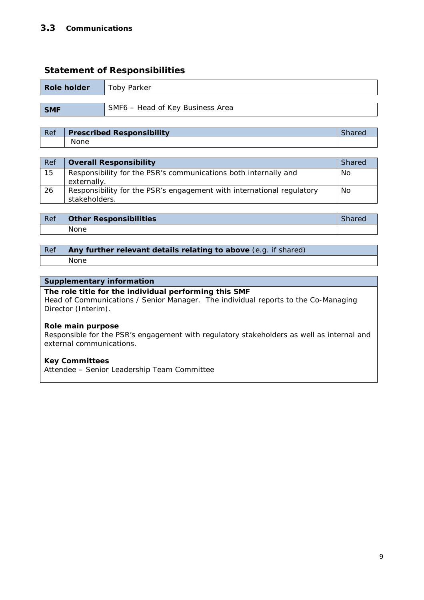## **3.3 Communications**

# **Statement of Responsibilities**

| <b>Role holder</b> | Toby Parker                      |
|--------------------|----------------------------------|
|                    |                                  |
| <b>SMF</b>         | SMF6 - Head of Key Business Area |

# *Ref* **Prescribed Responsibility** *Shared* None

| Ref | <b>Overall Responsibility</b>                                         | <b>Shared</b> |
|-----|-----------------------------------------------------------------------|---------------|
| 15  | Responsibility for the PSR's communications both internally and       | No.           |
|     | externally.                                                           |               |
| 26  | Responsibility for the PSR's engagement with international regulatory | No            |
|     | stakeholders.                                                         |               |

| Ref | <b>Other Responsibilities</b> | JHAFU |
|-----|-------------------------------|-------|
|     | <b>None</b>                   |       |

# *Ref* **Any further relevant details relating to above** (e.g. if shared)

None

#### **Supplementary information**

#### **The role title for the individual performing this SMF**

Head of Communications / Senior Manager. The individual reports to the Co-Managing Director (Interim).

#### **Role main purpose**

Responsible for the PSR's engagement with regulatory stakeholders as well as internal and external communications.

#### **Key Committees**

Attendee – Senior Leadership Team Committee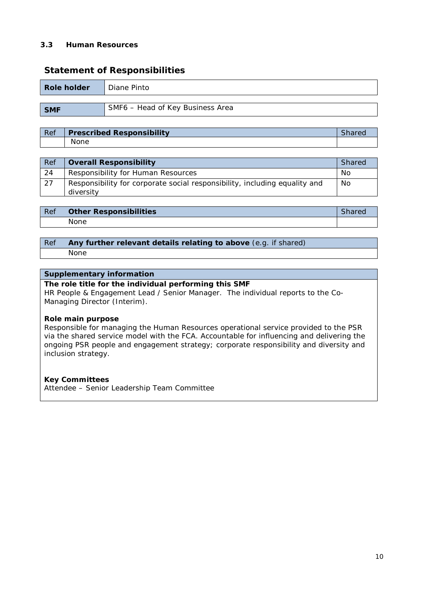#### **3.3 Human Resources**

## **Statement of Responsibilities**

| Role holder | Diane Pinto                      |
|-------------|----------------------------------|
|             |                                  |
| <b>SMF</b>  | SMF6 - Head of Key Business Area |

# *Ref* **Prescribed Responsibility** *Shared* None

| Ref | <b>Overall Responsibility</b>                                              | <b>Shared</b> |
|-----|----------------------------------------------------------------------------|---------------|
| 24  | Responsibility for Human Resources                                         | No            |
| 127 | Responsibility for corporate social responsibility, including equality and | No            |
|     | diversity                                                                  |               |

| , Ref | <b>Other Responsibilities</b> | JHAFU |
|-------|-------------------------------|-------|
|       | None                          |       |

#### *Ref* **Any further relevant details relating to above** (e.g. if shared) None

#### **Supplementary information**

#### **The role title for the individual performing this SMF**

HR People & Engagement Lead / Senior Manager. The individual reports to the Co-Managing Director (Interim).

#### **Role main purpose**

Responsible for managing the Human Resources operational service provided to the PSR via the shared service model with the FCA. Accountable for influencing and delivering the ongoing PSR people and engagement strategy; corporate responsibility and diversity and inclusion strategy.

#### **Key Committees**

Attendee – Senior Leadership Team Committee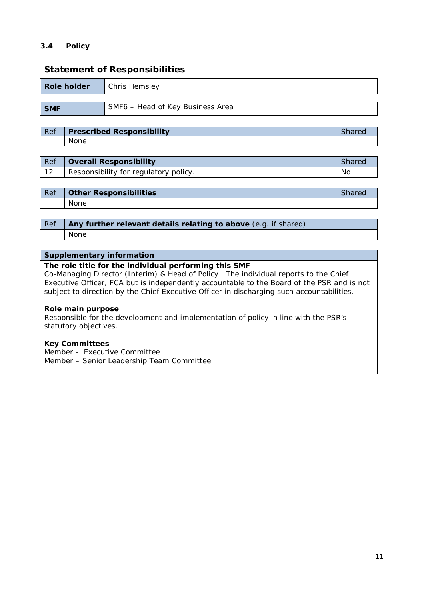### **3.4 Policy**

## **Statement of Responsibilities**

| <b>Role holder</b> | Chris Hemsley                    |
|--------------------|----------------------------------|
|                    |                                  |
| <b>SMF</b>         | SMF6 - Head of Key Business Area |

# *Ref* **Prescribed Responsibility** *Shared* None

| Ref | <b>Overall Responsibility</b>         | Shared |
|-----|---------------------------------------|--------|
| 12  | Responsibility for regulatory policy. | No     |

| Ref | <b>Other Responsibilities</b> |  |
|-----|-------------------------------|--|
|     | None                          |  |

| $Ref$   Any further relevant details relating to above (e.g. if shared) |  |
|-------------------------------------------------------------------------|--|
| None                                                                    |  |

#### **Supplementary information**

#### **The role title for the individual performing this SMF**

Co-Managing Director (Interim) & Head of Policy . The individual reports to the Chief Executive Officer, FCA but is independently accountable to the Board of the PSR and is not subject to direction by the Chief Executive Officer in discharging such accountabilities.

#### **Role main purpose**

Responsible for the development and implementation of policy in line with the PSR's statutory objectives.

#### **Key Committees**

Member - Executive Committee Member – Senior Leadership Team Committee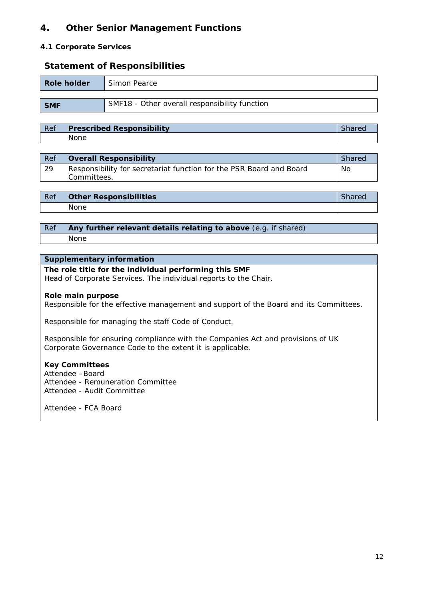# **4. Other Senior Management Functions**

#### **4.1 Corporate Services**

### **Statement of Responsibilities**

| Role holder | Simon Pearce                                  |
|-------------|-----------------------------------------------|
|             |                                               |
| <b>SMF</b>  | SMF18 - Other overall responsibility function |

# *Ref* **Prescribed Responsibility** *Shared* None

| Ref | Overall Responsibility                                                             | <b>Shared</b> |
|-----|------------------------------------------------------------------------------------|---------------|
| 29  | Responsibility for secretariat function for the PSR Board and Board<br>Committees. | No            |
|     |                                                                                    |               |

| Ref | <b>Other Responsibilities</b> | narec |
|-----|-------------------------------|-------|
|     | None                          |       |

#### *Ref* **Any further relevant details relating to above** (e.g. if shared) None

#### **Supplementary information**

#### **The role title for the individual performing this SMF** Head of Corporate Services. The individual reports to the Chair.

#### **Role main purpose**

Responsible for the effective management and support of the Board and its Committees.

Responsible for managing the staff Code of Conduct.

Responsible for ensuring compliance with the Companies Act and provisions of UK Corporate Governance Code to the extent it is applicable.

#### **Key Committees**

Attendee –Board Attendee - Remuneration Committee Attendee - Audit Committee

Attendee - FCA Board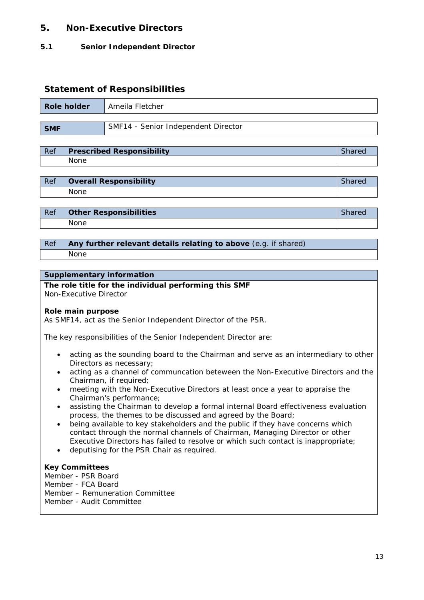# **5. Non-Executive Directors**

#### **5.1 Senior Independent Director**

## **Statement of Responsibilities**

| Role holder | Ameila Fletcher                     |
|-------------|-------------------------------------|
| <b>SMF</b>  | SMF14 - Senior Independent Director |

| Ref | <b>Prescribed Responsibility</b> |  |
|-----|----------------------------------|--|
|     | None                             |  |

| Ref | <b>Overall Responsibility</b> |  |
|-----|-------------------------------|--|
|     | None                          |  |

| l Ref | <b>Other Responsibilities</b> |  |
|-------|-------------------------------|--|
|       | <b>None</b>                   |  |

#### *Ref* **Any further relevant details relating to above** (e.g. if shared) None

# **Supplementary information**

#### **The role title for the individual performing this SMF** Non-Executive Director

#### **Role main purpose**

As SMF14, act as the Senior Independent Director of the PSR.

The key responsibilities of the Senior Independent Director are:

- acting as the sounding board to the Chairman and serve as an intermediary to other Directors as necessary;
- acting as a channel of communcation beteween the Non-Executive Directors and the Chairman, if required;
- meeting with the Non-Executive Directors at least once a year to appraise the Chairman's performance;
- assisting the Chairman to develop a formal internal Board effectiveness evaluation process, the themes to be discussed and agreed by the Board;
- being available to key stakeholders and the public if they have concerns which contact through the normal channels of Chairman, Managing Director or other Executive Directors has failed to resolve or which such contact is inappropriate;
- deputising for the PSR Chair as required.

#### **Key Committees**

Member - PSR Board

- Member FCA Board
- Member Remuneration Committee
- Member Audit Committee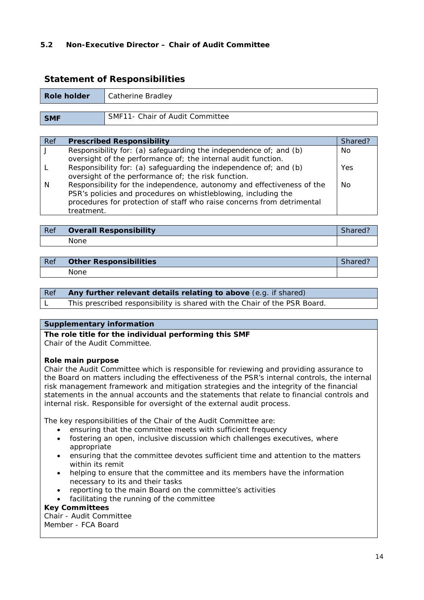#### **5.2 Non-Executive Director – Chair of Audit Committee**

# **Role holder** | Catherine Bradley **SMF** SMF11- Chair of Audit Committee

| <b>Statement of Responsibilities</b> |  |
|--------------------------------------|--|
|--------------------------------------|--|

| Ref | <b>Prescribed Responsibility</b>                                       | Shared?    |
|-----|------------------------------------------------------------------------|------------|
|     | Responsibility for: (a) safeguarding the independence of; and (b)      | No.        |
|     | oversight of the performance of; the internal audit function.          |            |
|     | Responsibility for: (a) safeguarding the independence of; and (b)      | <b>Yes</b> |
|     | oversight of the performance of; the risk function.                    |            |
| N   | Responsibility for the independence, autonomy and effectiveness of the | <b>No</b>  |
|     | PSR's policies and procedures on whistleblowing, including the         |            |
|     | procedures for protection of staff who raise concerns from detrimental |            |

| Ref | <b>Overall Responsibility</b> | <i>Shared</i> |
|-----|-------------------------------|---------------|
|     | <b>None</b>                   |               |

| l Ref | <b>Other Responsibilities</b> |  |
|-------|-------------------------------|--|
|       | None                          |  |

|  | Ref Any further relevant details relating to above (e.g. if shared) |  |
|--|---------------------------------------------------------------------|--|
|  |                                                                     |  |

L This prescribed responsibility is shared with the Chair of the PSR Board.

#### **Supplementary information**

**The role title for the individual performing this SMF**

Chair of the Audit Committee.

#### **Role main purpose**

treatment.

Chair the Audit Committee which is responsible for reviewing and providing assurance to the Board on matters including the effectiveness of the PSR's internal controls, the internal risk management framework and mitigation strategies and the integrity of the financial statements in the annual accounts and the statements that relate to financial controls and internal risk. Responsible for oversight of the external audit process.

The key responsibilities of the Chair of the Audit Committee are:

- ensuring that the committee meets with sufficient frequency
- fostering an open, inclusive discussion which challenges executives, where appropriate
- ensuring that the committee devotes sufficient time and attention to the matters within its remit
- helping to ensure that the committee and its members have the information necessary to its and their tasks
- reporting to the main Board on the committee's activities
- facilitating the running of the committee

#### **Key Committees**

Chair - Audit Committee Member - FCA Board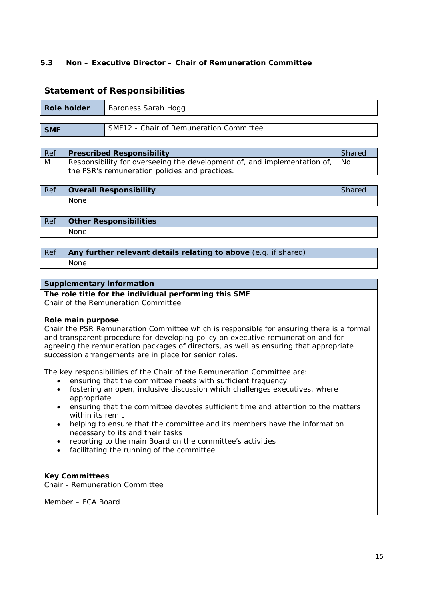#### **5.3 Non – Executive Director – Chair of Remuneration Committee**

# **Statement of Responsibilities**

| Role holder | Baroness Sarah Hogg                     |
|-------------|-----------------------------------------|
|             |                                         |
| <b>SMF</b>  | SMF12 - Chair of Remuneration Committee |

*Ref* **Prescribed Responsibility** *Shared* M Responsibility for overseeing the development of, and implementation of, the PSR's remuneration policies and practices. No

| Ref | <b>Overall Responsibility</b> |  |
|-----|-------------------------------|--|
|     | None                          |  |

| Ref | <b>Other Responsibilities</b> |  |
|-----|-------------------------------|--|
|     | None.                         |  |

#### *Ref* **Any further relevant details relating to above** (e.g. if shared) None

#### **Supplementary information**

**The role title for the individual performing this SMF** Chair of the Remuneration Committee

#### **Role main purpose**

Chair the PSR Remuneration Committee which is responsible for ensuring there is a formal and transparent procedure for developing policy on executive remuneration and for agreeing the remuneration packages of directors, as well as ensuring that appropriate succession arrangements are in place for senior roles.

The key responsibilities of the Chair of the Remuneration Committee are:

- ensuring that the committee meets with sufficient frequency
- fostering an open, inclusive discussion which challenges executives, where appropriate
- ensuring that the committee devotes sufficient time and attention to the matters within its remit
- helping to ensure that the committee and its members have the information necessary to its and their tasks
- reporting to the main Board on the committee's activities
- facilitating the running of the committee

#### **Key Committees**

Chair - Remuneration Committee

Member – FCA Board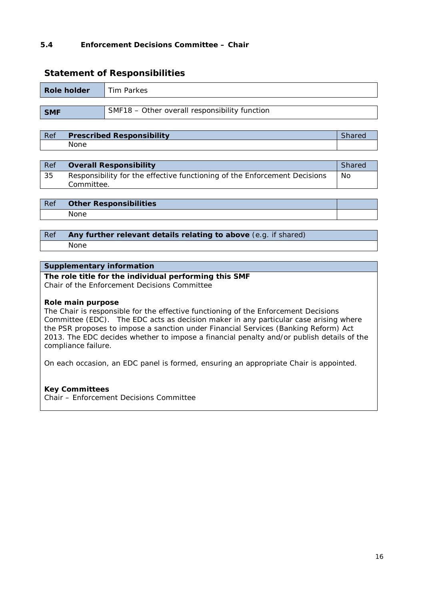#### **5.4 Enforcement Decisions Committee – Chair**

#### **Statement of Responsibilities**

| Role holder | Tim Parkes                                    |
|-------------|-----------------------------------------------|
|             |                                               |
| <b>SMF</b>  | SMF18 - Other overall responsibility function |

| Ref | <b>Prescribed Responsibility</b> |  |
|-----|----------------------------------|--|
|     | None                             |  |

| $\overline{Ref}$ | <b>Overall Responsibility</b>                                                           | <b>Shared</b> |
|------------------|-----------------------------------------------------------------------------------------|---------------|
| 35               | Responsibility for the effective functioning of the Enforcement Decisions<br>Committee. | No            |

| l Ref | <b>Other Responsibilities</b> |  |
|-------|-------------------------------|--|
|       | None                          |  |

## *Ref* **Any further relevant details relating to above** (e.g. if shared) None

#### **Supplementary information**

# **The role title for the individual performing this SMF**

Chair of the Enforcement Decisions Committee

#### **Role main purpose**

The Chair is responsible for the effective functioning of the Enforcement Decisions Committee (EDC). The EDC acts as decision maker in any particular case arising where the PSR proposes to impose a sanction under Financial Services (Banking Reform) Act 2013. The EDC decides whether to impose a financial penalty and/or publish details of the compliance failure.

On each occasion, an EDC panel is formed, ensuring an appropriate Chair is appointed.

#### **Key Committees**

Chair – Enforcement Decisions Committee